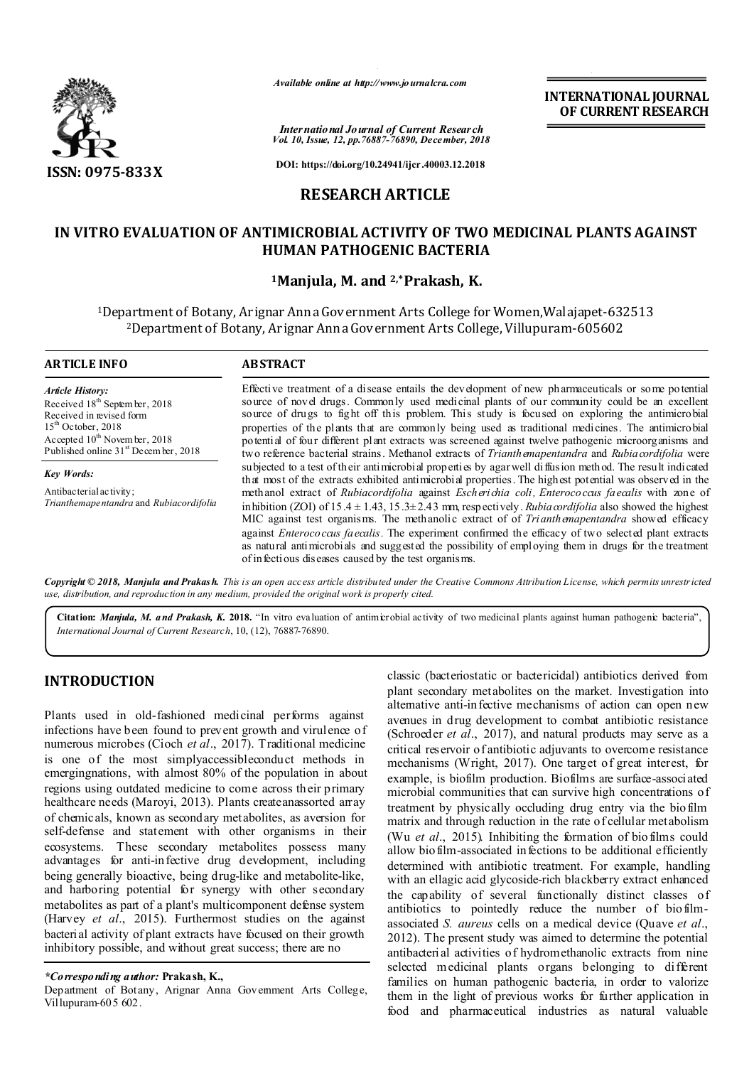

*Available online at http://www.journalcra.com*

**INTERNATIONAL JOURNAL OF CURRENT RESEARCH**

*International Journal of Current Research Vol. 10, Issue, 12, pp.76887-76890, December, 2018*

**DOI: https://doi.org/10.24941/ijcr.40003.12.2018**

# **RESEARCH ARTICLE**

# **IN VITRO EVALUATION OF ANTIMICROBIAL ACTIVITY OF TWO MEDICINAL PLANTS AGAINST HUMAN PATHOGENIC BACTERIA**

### **1Manjula, M. and 2,\*Prakash, K.**

1Department of Botany, Arignar AnnaGovernment Arts College for Women,Walajapet-632513 2Department of Botany, Arignar AnnaGovernment Arts College, Villupuram-605602

| <b>ARTICLE INFO</b>                                                                                                                                                                                               | <b>ABSTRACT</b>                                                                                                                                                                                                                                                                                                                                                                                                                                                                                                                                                                                                          |  |  |
|-------------------------------------------------------------------------------------------------------------------------------------------------------------------------------------------------------------------|--------------------------------------------------------------------------------------------------------------------------------------------------------------------------------------------------------------------------------------------------------------------------------------------------------------------------------------------------------------------------------------------------------------------------------------------------------------------------------------------------------------------------------------------------------------------------------------------------------------------------|--|--|
| <b>Article History:</b><br>Received 18 <sup>th</sup> September, 2018<br>Received in revised form<br>$15th$ October, 2018<br>Accepted $10^{th}$ November, 2018<br>Published online 31 <sup>st</sup> December, 2018 | Effective treatment of a disease entails the development of new pharmaceuticals or some potential<br>source of novel drugs. Commonly used medicinal plants of our community could be an excellent<br>source of drugs to fight off this problem. This study is focused on exploring the antimicrobial<br>properties of the plants that are commonly being used as traditional medicines. The antimicrobial<br>potential of four different plant extracts was screened against twelve pathogenic microorganisms and<br>two reference bacterial strains. Methanol extracts of Trianthemapentandra and Rubia cordifolia were |  |  |
| <b>Key Words:</b>                                                                                                                                                                                                 | subjected to a test of their antimicrobial properties by agar well diffusion method. The result indicated<br>that most of the extracts exhibited antimicrobial properties. The highest potential was observed in the                                                                                                                                                                                                                                                                                                                                                                                                     |  |  |
| Antibacterial activity;<br>Trianthemapentandra and Rubiacordifolia                                                                                                                                                | methanol extract of Rubiacordifolia against <i>Escherichia coli</i> , <i>Enterococaus faecalis</i> with zone of<br>in hibition (ZOI) of 15.4 $\pm$ 1.43, 15.3 $\pm$ 2.43 mm, respectively. Rubia cordifolia also showed the highest<br>MIC against test organisms. The methanolic extract of of Trianthermapentandra showed efficacy<br>against <i>Enterococals faecalis</i> . The experiment confirmed the efficacy of two selected plant extracts<br>as natural antimicrobials and suggested the possibility of employing them in drugs for the treatment<br>of infectious diseases caused by the test organisms.      |  |  |

Copyright © 2018, Manjula and Prakash. This is an open access article distributed under the Creative Commons Attribution License, which permits unrestricted *use, distribution, and reproduction in any medium, provided the original work is properly cited.*

**Citation:** *Manjula, M. and Prakash, K.* **2018.** "In vitro evaluation of antimicrobial activity of two medicinal plants against human pathogenic bacteria", *International Journal of Current Research*, 10, (12), 76887-76890.

## **INTRODUCTION**

Plants used in old-fashioned medicinal performs against infections have been found to prevent growth and virulence of numerous microbes (Cioch *et al*., 2017). Traditional medicine is one of the most simplyaccessibleconduct methods in emergingnations, with almost 80% of the population in about regions using outdated medicine to come across their primary healthcare needs (Maroyi, 2013). Plants createanassorted array of chemicals, known as secondary metabolites, as aversion for self-defense and statement with other organisms in their ecosystems. These secondary metabolites possess many advantages for anti-infective drug development, including being generally bioactive, being drug-like and metabolite-like, and harboring potential for synergy with other secondary metabolites as part of a plant's multicomponent defense system (Harvey *et al*., 2015). Furthermost studies on the against bacterial activity of plant extracts have focused on their growth inhibitory possible, and without great success; there are no

### *\*Corresponding author:* **Prakash, K.,**

Department of Botany, Arignar Anna Government Arts College, Villupuram-605 602.

classic (bacteriostatic or bactericidal) antibiotics derived from plant secondary metabolites on the market. Investigation into alternative anti-infective mechanisms of action can open new avenues in drug development to combat antibiotic resistance (Schroeder *et al*., 2017), and natural products may serve as a critical reservoir of antibiotic adjuvants to overcome resistance mechanisms (Wright, 2017). One target of great interest, for example, is biofilm production. Biofilms are surface-associated microbial communities that can survive high concentrations of treatment by physically occluding drug entry via the biofilm matrix and through reduction in the rate of cellular metabolism (Wu *et al*., 2015). Inhibiting the formation of biofilms could allow biofilm-associated infections to be additional efficiently determined with antibiotic treatment. For example, handling with an ellagic acid glycoside-rich blackberry extract enhanced the capability of several functionally distinct classes of antibiotics to pointedly reduce the number of biofilmassociated *S. aureus* cells on a medical device (Quave *et al*., 2012). The present study was aimed to determine the potential antibacterial activities of hydromethanolic extracts from nine selected medicinal plants organs belonging to different families on human pathogenic bacteria, in order to valorize them in the light of previous works for further application in food and pharmaceutical industries as natural valuable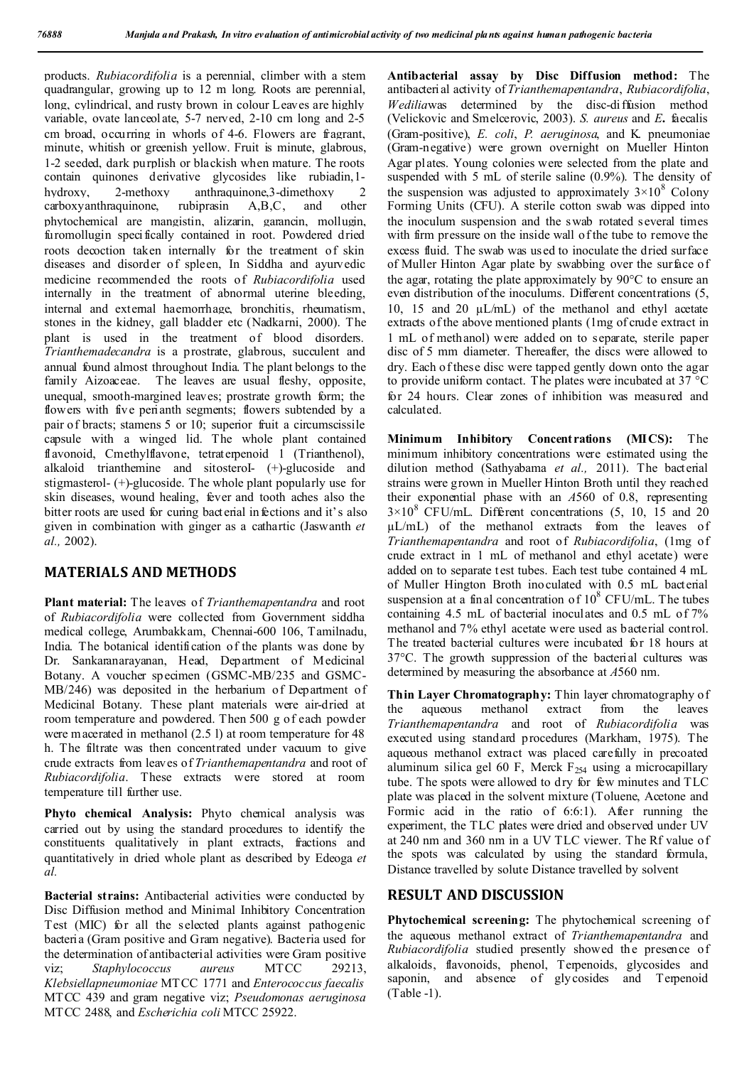products. *Rubiacordifolia* is a perennial, climber with a stem quadrangular, growing up to 12 m long. Roots are perennial, long, cylindrical, and rusty brown in colour Leaves are highly variable, ovate lanceolate, 5-7 nerved, 2-10 cm long and 2-5 cm broad, occurring in whorls of 4-6. Flowers are fragrant, minute, whitish or greenish yellow. Fruit is minute, glabrous, 1-2 seeded, dark purplish or blackish when mature. The roots contain quinones derivative glycosides like rubiadin,1 hydroxy, 2-methoxy anthraquinone, 3-dimethoxy 2<br>carboxy anthraquinone, rubiprasin A.B.C, and other  $carboxvanthraquinone$ , rubiprasin  $A, B, C$ , and phytochemical are mangistin, alizarin, garancin, mollugin, furomollugin specifically contained in root. Powdered dried roots decoction taken internally for the treatment of skin diseases and disorder of spleen, In Siddha and ayurvedic medicine recommended the roots of *Rubiacordifolia* used internally in the treatment of abnormal uterine bleeding, internal and external haemorrhage, bronchitis, rheumatism, stones in the kidney, gall bladder etc (Nadkarni, 2000). The plant is used in the treatment of blood disorders. *Trianthemadecandra* is a prostrate, glabrous, succulent and annual found almost throughout India. The plant belongs to the family Aizoaceae. The leaves are usual fleshy, opposite, unequal, smooth-margined leaves; prostrate growth form; the flowers with five perianth segments; flowers subtended by a pair of bracts; stamens 5 or 10; superior fruit a circumscissile capsule with a winged lid. The whole plant contained flavonoid, Cmethylflavone, tetraterpenoid 1 (Trianthenol), alkaloid trianthemine and sitosteroI- (+)-glucoside and stigmasterol- (+)-glucoside. The whole plant popularly use for skin diseases, wound healing, fever and tooth aches also the bitter roots are used for curing bacterial infections and it's also given in combination with ginger as a cathartic (Jaswanth *et al.,* 2002).

## **MATERIALS AND METHODS**

**Plant material:** The leaves of *Trianthemapentandra* and root of *Rubiacordifolia* were collected from Government siddha medical college, Arumbakkam, Chennai-600 106, Tamilnadu, India. The botanical identification of the plants was done by Dr. Sankaranarayanan, Head, Department of Medicinal Botany. A voucher specimen (GSMC-MB/235 and GSMC-MB/246) was deposited in the herbarium of Department of Medicinal Botany. These plant materials were air-dried at room temperature and powdered. Then 500 g of each powder were macerated in methanol (2.5 l) at room temperature for 48 h. The filtrate was then concentrated under vacuum to give crude extracts from leaves of *Trianthemapentandra* and root of *Rubiacordifolia*. These extracts were stored at room temperature till further use.

**Phyto chemical Analysis:** Phyto chemical analysis was carried out by using the standard procedures to identify the constituents qualitatively in plant extracts, fractions and quantitatively in dried whole plant as described by Edeoga *et al.*

**Bacterial strains:** Antibacterial activities were conducted by Disc Diffusion method and Minimal Inhibitory Concentration Test (MIC) for all the selected plants against pathogenic bacteria (Gram positive and Gram negative). Bacteria used for the determination of antibacterial activities were Gram positive<br>viz: Staphylococcus qureus MTCC 29213. viz; *Staphylococcus aureus* MTCC 29213, *Klebsiellapneumoniae* MTCC 1771 and *Enterococcus faecalis* MTCC 439 and gram negative viz; *Pseudomonas aeruginosa* MTCC 2488, and *Escherichia coli* MTCC 25922.

**Antibacterial assay by Disc Diffusion method:** The antibacterial activity of *Trianthemapentandra*, *Rubiacordifolia*, *Wedilia*was determined by the disc-diffusion method (Velickovic and Smelcerovic, 2003). *S. aureus* and *E***.** faecalis (Gram-positive), *E. coli*, *P. aeruginosa*, and K. pneumoniae (Gram-negative) were grown overnight on Mueller Hinton Agar plates. Young colonies were selected from the plate and suspended with 5 mL of sterile saline (0.9%). The density of the suspension was adjusted to approximately  $3\times10^8$  Colony Forming Units (CFU). A sterile cotton swab was dipped into the inoculum suspension and the swab rotated several times with firm pressure on the inside wall of the tube to remove the excess fluid. The swab was used to inoculate the dried surface of Muller Hinton Agar plate by swabbing over the surface of the agar, rotating the plate approximately by 90°C to ensure an even distribution of the inoculums. Different concentrations (5, 10, 15 and 20 µL/mL) of the methanol and ethyl acetate extracts of the above mentioned plants (1mg of crude extract in 1 mL of methanol) were added on to separate, sterile paper disc of 5 mm diameter. Thereafter, the discs were allowed to dry. Each of these disc were tapped gently down onto the agar to provide uniform contact. The plates were incubated at 37 °C for 24 hours. Clear zones of inhibition was measured and calculated.

**Minimum Inhibitory Concentrations (MICS):** The minimum inhibitory concentrations were estimated using the dilution method (Sathyabama *et al.,* 2011). The bacterial strains were grown in Mueller Hinton Broth until they reached their exponential phase with an *A*560 of 0.8, representing  $3\times10^8$  CFU/mL. Different concentrations (5, 10, 15 and 20 µL/mL) of the methanol extracts from the leaves of *Trianthemapentandra* and root of *Rubiacordifolia*, (1mg of crude extract in 1 mL of methanol and ethyl acetate) were added on to separate test tubes. Each test tube contained 4 mL of Muller Hington Broth inoculated with 0.5 mL bacterial suspension at a final concentration of  $10^8$  CFU/mL. The tubes containing 4.5 mL of bacterial inoculates and 0.5 mL of 7% methanol and 7% ethyl acetate were used as bacterial control. The treated bacterial cultures were incubated for 18 hours at 37°C. The growth suppression of the bacterial cultures was determined by measuring the absorbance at *A*560 nm.

**Thin Layer Chromatography:** Thin layer chromatography of the aqueous methanol extract from the leaves *Trianthemapentandra* and root of *Rubiacordifolia* was executed using standard procedures (Markham, 1975). The aqueous methanol extract was placed carefully in precoated aluminum silica gel 60 F, Merck  $F_{254}$  using a microcapillary tube. The spots were allowed to dry for few minutes and TLC plate was placed in the solvent mixture (Toluene, Acetone and Formic acid in the ratio of 6:6:1). After running the experiment, the TLC plates were dried and observed under UV at 240 nm and 360 nm in a UV TLC viewer. The Rf value of the spots was calculated by using the standard formula, Distance travelled by solute Distance travelled by solvent

### **RESULT AND DISCUSSION**

**Phytochemical screening:** The phytochemical screening of the aqueous methanol extract of *Trianthemapentandra* and *Rubiacordifolia* studied presently showed the presence of alkaloids, flavonoids, phenol, Terpenoids, glycosides and saponin, and absence of glycosides and Terpenoid (Table -1).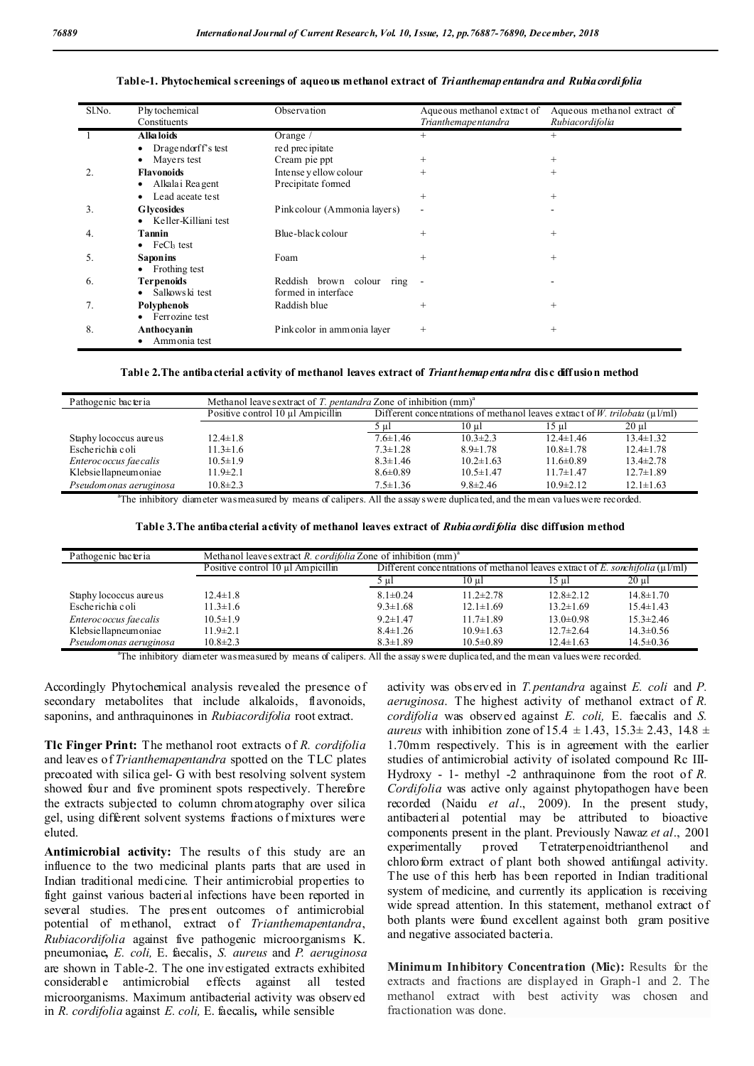| Sl.No. | Phy tochemical<br>Constituents  | Observation                  | Aqueous methanol extract of<br>Trianthemapentandra | Aqueous methanol extract of<br>Rubiacordifolia |
|--------|---------------------------------|------------------------------|----------------------------------------------------|------------------------------------------------|
|        | Alka loids                      | Orange $/$                   | $^{+}$                                             | $^{+}$                                         |
|        | Dragendorff's test<br>$\bullet$ | red precipitate              |                                                    |                                                |
|        | Mayers test                     | Cream pie ppt                | $^{+}$                                             | $^{+}$                                         |
| 2.     | <b>Flavonoids</b>               | Intense y ellow colour       | $^{+}$                                             | $^{+}$                                         |
|        | • Alkalai Reagent               | Precipitate formed           |                                                    |                                                |
|        | Lead aceate test                |                              | $^{+}$                                             | $^{+}$                                         |
| 3.     | <b>Glycosides</b>               | Pinkcolour (Ammonia layers)  | ۰                                                  |                                                |
|        | Keller-Killiani test<br>٠       |                              |                                                    |                                                |
| 4.     | Tannin                          | Blue-black colour            | $^{+}$                                             | $^{+}$                                         |
|        | $\bullet$ FeC <sub>k</sub> test |                              |                                                    |                                                |
| 5.     | <b>Saponins</b>                 | Foam                         | $^{+}$                                             | $^{+}$                                         |
|        | • Frothing test                 |                              |                                                    |                                                |
| 6.     | <b>Terpenoids</b>               | Reddish brown colour<br>ring |                                                    |                                                |
|        | Salkows ki test                 | formed in interface          |                                                    |                                                |
| 7.     | Polyphenols                     | Raddish blue                 | $\hspace{0.1mm} +$                                 | $^{+}$                                         |
|        | Ferrozine test<br>$\bullet$     |                              |                                                    |                                                |
| 8.     | Anthocyanin                     | Pinkcolor in ammonia layer   | $\hspace{0.1mm} +$                                 | $^{+}$                                         |
|        | Ammonia test                    |                              |                                                    |                                                |

#### **Table-1. Phytochemical screenings of aqueous methanol extract of** *Trianthemapentandra and Rubiacordifolia*

**Table 2.The antibacterial activity of methanol leaves extract of** *Trianthemapentandra* **disc diffusion method**

| Pathogenic bacteria    | Methanol leaves extract of T. pentandra Zone of inhibition $(mm)^{a}$ |                                                                                   |                 |                 |                 |  |
|------------------------|-----------------------------------------------------------------------|-----------------------------------------------------------------------------------|-----------------|-----------------|-----------------|--|
|                        | Positive control 10 µl Ampicillin                                     | Different concentrations of methanol leaves extract of W. trilobata ( $\mu$ 1/ml) |                 |                 |                 |  |
|                        |                                                                       | ` Աւ                                                                              | 10 ul           | 15 ul           | $20 \text{ ul}$ |  |
| Staphy lococcus aureus | $12.4 \pm 1.8$                                                        | $7.6 \pm 1.46$                                                                    | $10.3 \pm 2.3$  | $12.4 \pm 1.46$ | $13.4 \pm 1.32$ |  |
| Escherichia coli       | $11.3 \pm 1.6$                                                        | $7.3 \pm 1.28$                                                                    | $8.9 \pm 1.78$  | $10.8 \pm 1.78$ | $12.4 \pm 1.78$ |  |
| Enterococcus faecalis  | $10.5 \pm 1.9$                                                        | $8.3 \pm 1.46$                                                                    | $10.2 \pm 1.63$ | $11.6 \pm 0.89$ | $13.4 \pm 2.78$ |  |
| Klebsiellapneum oniae  | $11.9 \pm 2.1$                                                        | $8.6 \pm 0.89$                                                                    | $10.5 \pm 1.47$ | $11.7 \pm 1.47$ | $12.7 \pm 1.89$ |  |
| Pseudomonas aeruginosa | $10.8 \pm 2.3$                                                        | $7.5 \pm 1.36$                                                                    | $9.8 \pm 2.46$  | $10.9 \pm 2.12$ | $12.1 \pm 1.63$ |  |

a The inhibitory diameter was measured by means of calipers. All the assays were duplicated, and the mean values were recorded.

**Table 3.The antibacterial activity of methanol leaves extract of** *Rubiacordifolia* **disc diffusion method**

| Pathogenic bacteria     | Methanol leaves extract R. cordifolia Zone of inhibition $(mm)^{4}$ |                                                                                     |                 |                 |                 |
|-------------------------|---------------------------------------------------------------------|-------------------------------------------------------------------------------------|-----------------|-----------------|-----------------|
|                         | Positive control $10 \mu l$ Ampicillin                              | Different concentrations of methanol leaves extract of E. sonchifolia ( $\mu$ 1/ml) |                 |                 |                 |
|                         |                                                                     | 5 ul                                                                                | 10 ul           | 15 ul           | 20 ul           |
| Staphy lococcus aureus  | $12.4 \pm 1.8$                                                      | $8.1 \pm 0.24$                                                                      | $11.2 \pm 2.78$ | $12.8 \pm 2.12$ | $14.8 \pm 1.70$ |
| Escherichia coli        | $11.3 \pm 1.6$                                                      | $9.3 \pm 1.68$                                                                      | $12.1 \pm 1.69$ | $13.2 \pm 1.69$ | $15.4 \pm 1.43$ |
| Enterococcus faecalis   | $10.5 \pm 1.9$                                                      | $9.2 \pm 1.47$                                                                      | $11.7 \pm 1.89$ | $13.0 \pm 0.98$ | $15.3 \pm 2.46$ |
| Klebsiellapneum oniae   | $11.9 \pm 2.1$                                                      | $8.4 \pm 1.26$                                                                      | $10.9 \pm 1.63$ | $12.7 \pm 2.64$ | $14.3 \pm 0.56$ |
| Pseudom onas aeruginosa | $10.8 \pm 2.3$                                                      | $8.3 \pm 1.89$                                                                      | $10.5 \pm 0.89$ | $12.4 \pm 1.63$ | $14.5 \pm 0.36$ |

a The inhibitory diameter was measured by means of calipers. All the assays were duplicated, and the mean values were recorded.

Accordingly Phytochemical analysis revealed the presence of secondary metabolites that include alkaloids, flavonoids, saponins, and anthraquinones in *Rubiacordifolia* root extract.

**Tlc Finger Print:** The methanol root extracts of *R. cordifolia* and leaves of *Trianthemapentandra* spotted on the TLC plates precoated with silica gel- G with best resolving solvent system showed four and five prominent spots respectively. Therefore the extracts subjected to column chromatography over silica gel, using different solvent systems fractions of mixtures were eluted.

**Antimicrobial activity:** The results of this study are an influence to the two medicinal plants parts that are used in Indian traditional medicine. Their antimicrobial properties to fight gainst various bacterial infections have been reported in several studies. The present outcomes of antimicrobial potential of methanol, extract of *Trianthemapentandra*, *Rubiacordifolia* against five pathogenic microorganisms K. pneumoniae**,** *E. coli,* E. faecalis, *S. aureus* and *P. aeruginosa* are shown in Table-2. The one investigated extracts exhibited considerable antimicrobial effects against all tested microorganisms. Maximum antibacterial activity was observed in *R. cordifolia* against *E. coli,* E. faecalis*,* while sensible

activity was observed in *T.pentandra* against *E. coli* and *P. aeruginosa*. The highest activity of methanol extract of *R. cordifolia* was observed against *E. coli,* E. faecalis and *S. aureus* with inhibition zone of  $15.4 \pm 1.43$ ,  $15.3 \pm 2.43$ ,  $14.8 \pm 1.43$ 1.70mm respectively. This is in agreement with the earlier studies of antimicrobial activity of isolated compound Rc III-Hydroxy - 1- methyl -2 anthraquinone from the root of *R. Cordifolia* was active only against phytopathogen have been recorded (Naidu *et al*., 2009). In the present study, antibacterial potential may be attributed to bioactive components present in the plant. Previously Nawaz *et al*., 2001 proved Tetraterpenoidtrianthenol and chloroform extract of plant both showed antifungal activity. The use of this herb has been reported in Indian traditional system of medicine, and currently its application is receiving wide spread attention. In this statement, methanol extract of both plants were found excellent against both gram positive and negative associated bacteria.

**Minimum Inhibitory Concentration (Mic):** Results for the extracts and fractions are displayed in Graph-1 and 2. The methanol extract with best activity was chosen and fractionation was done.